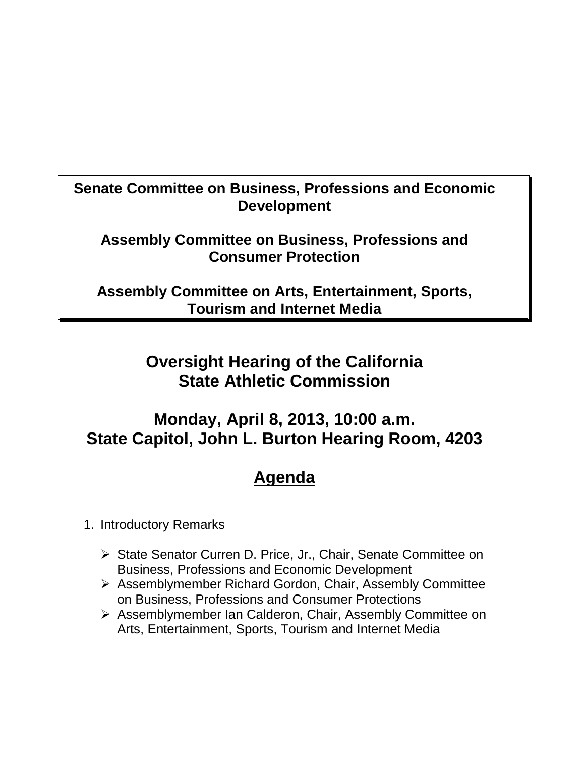### **Senate Committee on Business, Professions and Economic Development**

#### **Assembly Committee on Business, Professions and Consumer Protection**

**Assembly Committee on Arts, Entertainment, Sports, Tourism and Internet Media** 

## **Oversight Hearing of the California State Athletic Commission**

### **Monday, April 8, 2013, 10:00 a.m. State Capitol, John L. Burton Hearing Room, 4203**

# **Agenda**

1. Introductory Remarks

- ▶ State Senator Curren D. Price, Jr., Chair, Senate Committee on Business, Professions and Economic Development
- Assemblymember Richard Gordon, Chair, Assembly Committee on Business, Professions and Consumer Protections
- Assemblymember Ian Calderon, Chair, Assembly Committee on Arts, Entertainment, Sports, Tourism and Internet Media